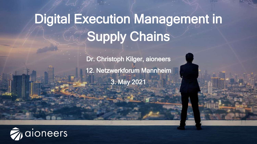# Digital Execution Management in Supply Chains

Dr. Christoph Kilger, aioneers 12. Netzwerkforum Mannheim 3. May 2021

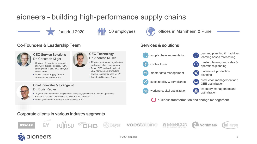# aioneers – building high-performance supply chains

CEO Technology Dr. Andreas Müller

• 22 years in strategy, organization and supply chain management • former CEO and co-founder of J&M Management Consulting • Various leadership roles at EY • Investor & Business Angel

founded 2020 **100 FMP** 50 employees

#### Co-Founders & Leadership Team



#### CEO Service Solutions Dr. Christoph Kilger

- 25 years of experience in supply chain, production, logistics, PLM, strategy and IT at KPMG, J&M, EY and aioneers
- former head of Supply Chain & Operations in EMEIA at EY



#### Chief Innovator & Evangelist

#### Dr. Boris Reuter

- 25 years of experience in supply chain, analytics, quantitative SCM and Operations
- 
- Research at axentiv, softlab/BMW, J&M, EY and aioneers • former global head of Supply Chain Analytics at EY



#### offices in Mannheim & Pune

#### Services & solutions



- demand planning & machinesupply chain segmentation **and the supply chain segmentation**
- control tower **control tower** master planning and sales & operations planning
- materials & production master data management materials
- sustainability & compliance  $\begin{bmatrix} \cdot & \cdot \\ \cdot & \cdot \end{bmatrix}$  production management and OEE optimization
- working capital optimization inventory management and
	- optimization business transformation and change management

Corporate clients in various industry segments



aioneers





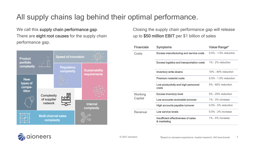# All supply chains lag behind their optimal performance.

We call this supply chain performance gap. There are eight root causes for the supply chain performance gap.



Closing the supply chain performance gap will release up to \$50 million EBIT per \$1 billion of sales

| <b>Financials</b>  | <b>Symptoms</b>                                                    | Value Range*              |
|--------------------|--------------------------------------------------------------------|---------------------------|
| Costs              | <b>Excess manufacturing and service costs</b>                      | $0.5\%$ - 1.5% reduction  |
|                    | <b>Excess logistics and transportation costs</b> 1% - 2% reduction |                           |
|                    | <b>Inventory write-downs</b>                                       | $10\%$ - $40\%$ reduction |
|                    | <b>Premium material costs</b>                                      | $0.5\%$ - 1.5% reduction  |
|                    | Low productivity and high personnel<br>costs                       | $5\%$ - 60% reduction     |
| Working<br>Capital | <b>Excess inventory level</b>                                      | 5% - 25% reduction        |
|                    | Low accounts receivable turnover                                   | $1\%$ - $3\%$ increase    |
|                    | High accounts payable turnover                                     | $0.5\%$ - 5% reduction    |
| Revenue            | Low service levels                                                 | $0.5\%$ - 2% increase     |
|                    | Insufficient effectiveness of sales<br>& marketing                 | $1\% - 4\%$ increase      |

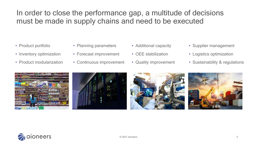### In order to close the performance gap, a multitude of decisions must be made in supply chains and need to be executed

- Product portfolio
- Inventory optimization
- Product modularization
- Planning parameters
- Forecast improvement
- Continuous improvement
- Additional capacity
- OEE stabilization
- Quality improvement
- Supplier management
- Logistics optimization
- Sustainability & regulations









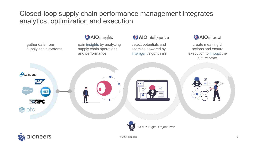Closed-loop supply chain performance management integrates analytics, optimization and execution



### **AIO** insights

gain insights by analyzing supply chain operations and performance

### **AIO** intelligence

detect potentials and optimize powered by intelligent algorithm's



create meaningful actions and ensure execution to impact the future state

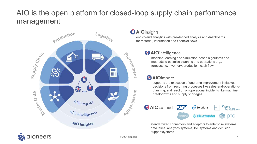## AIO is the open platform for closed-loop supply chain performance management



#### **AlOinsights**

end-to-end analytics with pre-defined analysis and dashboards for material, information and financial flows

### **AIO** intelligence

machine-learning and simulation-based algorithms and methods to optimize planning and operations e.g., forecasting, inventory, production, cash flow

### **※AlOimpact**

supports the execution of one-time improvement initiatives, decisions from recurring processes like sales-and-operationsplanning, and reaction on operational incidents like machine break-downs and supply shortages.



standardized connectors and adaptors to enterprise systems, data lakes, analytics systems, IoT systems and decision support systems

oneers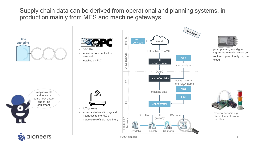Supply chain data can be derived from operational and planning systems, in production mainly from MES and machine gateways

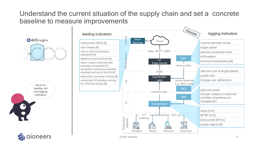### Understand the current situation of the supply chain and set a concrete baseline to measure improvements

AIOinsights

leading, not just lagging indicators  $\begin{bmatrix} \bullet \end{bmatrix}$ 

aioneers

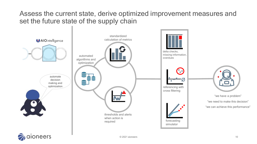### Assess the current state, derive optimized improvement measures and set the future state of the supply chain



aioneers

 $\odot$  2021 aioneers 10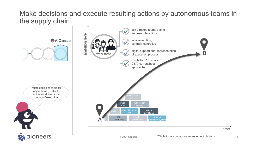### Make decisions and execute resulting actions by autonomous teams in the supply chain

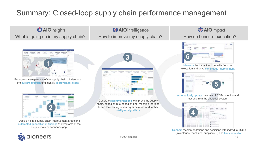# Summary: Closed-loop supply chain performance management

AlOinsights What is going on in my supply chain? How to improve my supply chain? How do I ensure execution?

**Alison** and the state *<u>By World</u>* 1

End-to-end transparency of the supply chain: Understand the current situation and identify improvement areas



Deep-dive into supply chain improvement areas and automated generation of findings (= symptoms of the supply chain performance gap)



**AlOintelligence** 

Generate recommendations to improve the supply chain, based on rule-based engine, machine-learning based forecasting, inventory simulation, and further intelligent algorithms

### ※AlOimpact



Measure the impact and benefits from the execution and drive continuous improvement



Automatically update the state of DOTs, metrics and actions from the analytics system



Connect recommendations and decisions with individual DOTs (inventories, machines, suppliers, …) and track execution